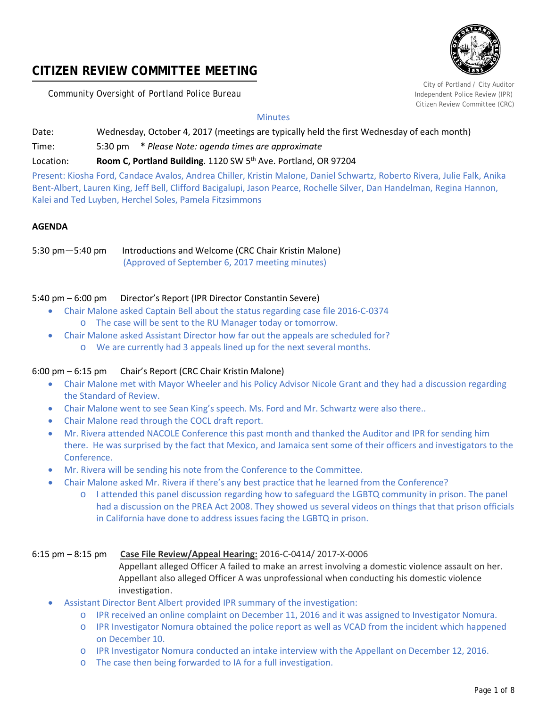# **CITIZEN REVIEW COMMITTEE MEETING**

**Community Oversight of Portland Police Bureau Independent Police Review (IPR) Independent Police Review (IPR)** 



City of Portland / City Auditor Citizen Review Committee (CRC)

# **Minutes**

Date: Wednesday, October 4, 2017 (meetings are typically held the first Wednesday of each month)

Time: 5:30 pm **\*** *Please Note: agenda times are approximate*

Location: **Room C, Portland Building**. 1120 SW 5th Ave. Portland, OR 97204

Present: Kiosha Ford, Candace Avalos, Andrea Chiller, Kristin Malone, Daniel Schwartz, Roberto Rivera, Julie Falk, Anika Bent-Albert, Lauren King, Jeff Bell, Clifford Bacigalupi, Jason Pearce, Rochelle Silver, Dan Handelman, Regina Hannon, Kalei and Ted Luyben, Herchel Soles, Pamela Fitzsimmons

# **AGENDA**

5:30 pm—5:40 pm Introductions and Welcome (CRC Chair Kristin Malone) (Approved of September 6, 2017 meeting minutes)

# 5:40 pm – 6:00 pm Director's Report (IPR Director Constantin Severe)

- Chair Malone asked Captain Bell about the status regarding case file 2016-C-0374 o The case will be sent to the RU Manager today or tomorrow.
	- Chair Malone asked Assistant Director how far out the appeals are scheduled for?
		- o We are currently had 3 appeals lined up for the next several months.

# 6:00 pm – 6:15 pm Chair's Report (CRC Chair Kristin Malone)

- Chair Malone met with Mayor Wheeler and his Policy Advisor Nicole Grant and they had a discussion regarding the Standard of Review.
- Chair Malone went to see Sean King's speech. Ms. Ford and Mr. Schwartz were also there..
- Chair Malone read through the COCL draft report.
- Mr. Rivera attended NACOLE Conference this past month and thanked the Auditor and IPR for sending him there. He was surprised by the fact that Mexico, and Jamaica sent some of their officers and investigators to the Conference.
- Mr. Rivera will be sending his note from the Conference to the Committee.
	- Chair Malone asked Mr. Rivera if there's any best practice that he learned from the Conference?
		- o I attended this panel discussion regarding how to safeguard the LGBTQ community in prison. The panel had a discussion on the PREA Act 2008. They showed us several videos on things that that prison officials in California have done to address issues facing the LGBTQ in prison.

# 6:15 pm – 8:15 pm **Case File Review/Appeal Hearing:** 2016-C-0414/ 2017-X-0006

 Appellant alleged Officer A failed to make an arrest involving a domestic violence assault on her. Appellant also alleged Officer A was unprofessional when conducting his domestic violence investigation.

- Assistant Director Bent Albert provided IPR summary of the investigation:
	- o IPR received an online complaint on December 11, 2016 and it was assigned to Investigator Nomura.
	- o IPR Investigator Nomura obtained the police report as well as VCAD from the incident which happened on December 10.
	- o IPR Investigator Nomura conducted an intake interview with the Appellant on December 12, 2016.
	- o The case then being forwarded to IA for a full investigation.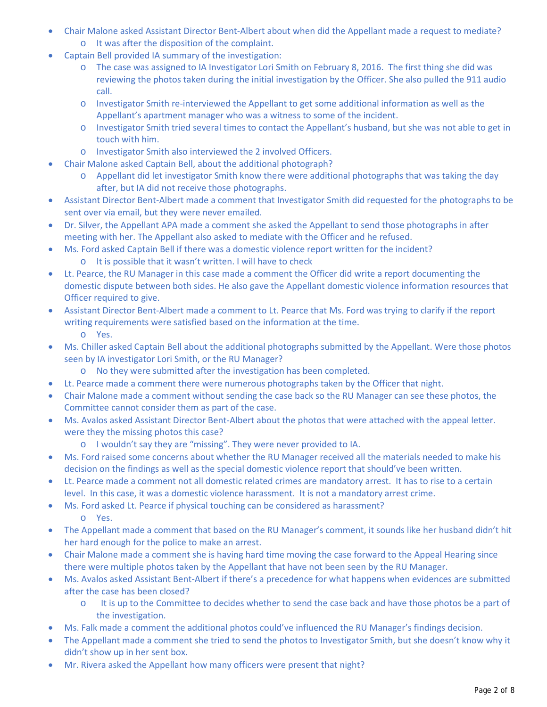- Chair Malone asked Assistant Director Bent-Albert about when did the Appellant made a request to mediate? o It was after the disposition of the complaint.
- Captain Bell provided IA summary of the investigation:
	- o The case was assigned to IA Investigator Lori Smith on February 8, 2016. The first thing she did was reviewing the photos taken during the initial investigation by the Officer. She also pulled the 911 audio call.
	- o Investigator Smith re-interviewed the Appellant to get some additional information as well as the Appellant's apartment manager who was a witness to some of the incident.
	- o Investigator Smith tried several times to contact the Appellant's husband, but she was not able to get in touch with him.
	- o Investigator Smith also interviewed the 2 involved Officers.
- Chair Malone asked Captain Bell, about the additional photograph?
	- o Appellant did let investigator Smith know there were additional photographs that was taking the day after, but IA did not receive those photographs.
- Assistant Director Bent-Albert made a comment that Investigator Smith did requested for the photographs to be sent over via email, but they were never emailed.
- Dr. Silver, the Appellant APA made a comment she asked the Appellant to send those photographs in after meeting with her. The Appellant also asked to mediate with the Officer and he refused.
- Ms. Ford asked Captain Bell if there was a domestic violence report written for the incident? o It is possible that it wasn't written. I will have to check
- Lt. Pearce, the RU Manager in this case made a comment the Officer did write a report documenting the domestic dispute between both sides. He also gave the Appellant domestic violence information resources that Officer required to give.
- Assistant Director Bent-Albert made a comment to Lt. Pearce that Ms. Ford was trying to clarify if the report writing requirements were satisfied based on the information at the time.
	- o Yes.
- Ms. Chiller asked Captain Bell about the additional photographs submitted by the Appellant. Were those photos seen by IA investigator Lori Smith, or the RU Manager?
	- o No they were submitted after the investigation has been completed.
- Lt. Pearce made a comment there were numerous photographs taken by the Officer that night.
- Chair Malone made a comment without sending the case back so the RU Manager can see these photos, the Committee cannot consider them as part of the case.
- Ms. Avalos asked Assistant Director Bent-Albert about the photos that were attached with the appeal letter. were they the missing photos this case?
	- o I wouldn't say they are "missing". They were never provided to IA.
- Ms. Ford raised some concerns about whether the RU Manager received all the materials needed to make his decision on the findings as well as the special domestic violence report that should've been written.
- Lt. Pearce made a comment not all domestic related crimes are mandatory arrest. It has to rise to a certain level. In this case, it was a domestic violence harassment. It is not a mandatory arrest crime.
- Ms. Ford asked Lt. Pearce if physical touching can be considered as harassment? o Yes.
- The Appellant made a comment that based on the RU Manager's comment, it sounds like her husband didn't hit her hard enough for the police to make an arrest.
- Chair Malone made a comment she is having hard time moving the case forward to the Appeal Hearing since there were multiple photos taken by the Appellant that have not been seen by the RU Manager.
- Ms. Avalos asked Assistant Bent-Albert if there's a precedence for what happens when evidences are submitted after the case has been closed?
	- o It is up to the Committee to decides whether to send the case back and have those photos be a part of the investigation.
- Ms. Falk made a comment the additional photos could've influenced the RU Manager's findings decision.
- The Appellant made a comment she tried to send the photos to Investigator Smith, but she doesn't know why it didn't show up in her sent box.
- Mr. Rivera asked the Appellant how many officers were present that night?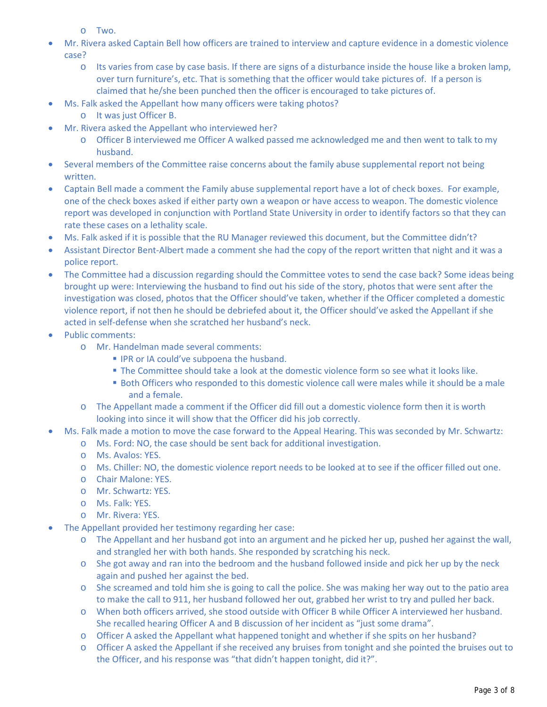o Two.

- Mr. Rivera asked Captain Bell how officers are trained to interview and capture evidence in a domestic violence case?
	- o Its varies from case by case basis. If there are signs of a disturbance inside the house like a broken lamp, over turn furniture's, etc. That is something that the officer would take pictures of. If a person is claimed that he/she been punched then the officer is encouraged to take pictures of.
- Ms. Falk asked the Appellant how many officers were taking photos?
	- o It was just Officer B.
- Mr. Rivera asked the Appellant who interviewed her?
	- o Officer B interviewed me Officer A walked passed me acknowledged me and then went to talk to my husband.
- Several members of the Committee raise concerns about the family abuse supplemental report not being written.
- Captain Bell made a comment the Family abuse supplemental report have a lot of check boxes. For example, one of the check boxes asked if either party own a weapon or have access to weapon. The domestic violence report was developed in conjunction with Portland State University in order to identify factors so that they can rate these cases on a lethality scale.
- Ms. Falk asked if it is possible that the RU Manager reviewed this document, but the Committee didn't?
- Assistant Director Bent-Albert made a comment she had the copy of the report written that night and it was a police report.
- The Committee had a discussion regarding should the Committee votes to send the case back? Some ideas being brought up were: Interviewing the husband to find out his side of the story, photos that were sent after the investigation was closed, photos that the Officer should've taken, whether if the Officer completed a domestic violence report, if not then he should be debriefed about it, the Officer should've asked the Appellant if she acted in self-defense when she scratched her husband's neck.
- Public comments:
	- o Mr. Handelman made several comments:
		- **IPR or IA could've subpoena the husband.**
		- **The Committee should take a look at the domestic violence form so see what it looks like.**
		- **Both Officers who responded to this domestic violence call were males while it should be a male** and a female.
	- o The Appellant made a comment if the Officer did fill out a domestic violence form then it is worth looking into since it will show that the Officer did his job correctly.
- Ms. Falk made a motion to move the case forward to the Appeal Hearing. This was seconded by Mr. Schwartz:
	- o Ms. Ford: NO, the case should be sent back for additional investigation.
	- o Ms. Avalos: YES.
	- o Ms. Chiller: NO, the domestic violence report needs to be looked at to see if the officer filled out one.
	- o Chair Malone: YES.
	- o Mr. Schwartz: YES.
	- o Ms. Falk: YES.
	- o Mr. Rivera: YES.
- The Appellant provided her testimony regarding her case:
	- o The Appellant and her husband got into an argument and he picked her up, pushed her against the wall, and strangled her with both hands. She responded by scratching his neck.
	- o She got away and ran into the bedroom and the husband followed inside and pick her up by the neck again and pushed her against the bed.
	- o She screamed and told him she is going to call the police. She was making her way out to the patio area to make the call to 911, her husband followed her out, grabbed her wrist to try and pulled her back.
	- o When both officers arrived, she stood outside with Officer B while Officer A interviewed her husband. She recalled hearing Officer A and B discussion of her incident as "just some drama".
	- o Officer A asked the Appellant what happened tonight and whether if she spits on her husband?
	- o Officer A asked the Appellant if she received any bruises from tonight and she pointed the bruises out to the Officer, and his response was "that didn't happen tonight, did it?".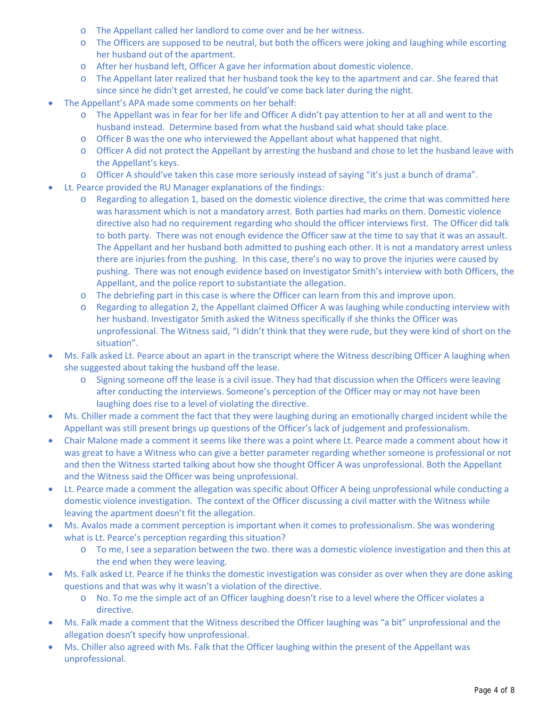- o The Appellant called her landlord to come over and be her witness.
- o The Officers are supposed to be neutral, but both the officers were joking and laughing while escorting her husband out of the apartment.
- o After her husband left, Officer A gave her information about domestic violence.
- o The Appellant later realized that her husband took the key to the apartment and car. She feared that since since he didn't get arrested, he could've come back later during the night.
- The Appellant's APA made some comments on her behalf:
	- o The Appellant was in fear for her life and Officer A didn't pay attention to her at all and went to the husband instead. Determine based from what the husband said what should take place.
	- o Officer B was the one who interviewed the Appellant about what happened that night.
	- o Officer A did not protect the Appellant by arresting the husband and chose to let the husband leave with the Appellant's keys.
	- o Officer A should've taken this case more seriously instead of saying "it's just a bunch of drama".
- Lt. Pearce provided the RU Manager explanations of the findings:
	- o Regarding to allegation 1, based on the domestic violence directive, the crime that was committed here was harassment which is not a mandatory arrest. Both parties had marks on them. Domestic violence directive also had no requirement regarding who should the officer interviews first. The Officer did talk to both party. There was not enough evidence the Officer saw at the time to say that it was an assault. The Appellant and her husband both admitted to pushing each other. It is not a mandatory arrest unless there are injuries from the pushing. In this case, there's no way to prove the injuries were caused by pushing. There was not enough evidence based on Investigator Smith's interview with both Officers, the Appellant, and the police report to substantiate the allegation.
	- o The debriefing part in this case is where the Officer can learn from this and improve upon.
	- o Regarding to allegation 2, the Appellant claimed Officer A was laughing while conducting interview with her husband. Investigator Smith asked the Witness specifically if she thinks the Officer was unprofessional. The Witness said, "I didn't think that they were rude, but they were kind of short on the situation".
- Ms. Falk asked Lt. Pearce about an apart in the transcript where the Witness describing Officer A laughing when she suggested about taking the husband off the lease.
	- o Signing someone off the lease is a civil issue. They had that discussion when the Officers were leaving after conducting the interviews. Someone's perception of the Officer may or may not have been laughing does rise to a level of violating the directive.
- Ms. Chiller made a comment the fact that they were laughing during an emotionally charged incident while the Appellant was still present brings up questions of the Officer's lack of judgement and professionalism.
- Chair Malone made a comment it seems like there was a point where Lt. Pearce made a comment about how it was great to have a Witness who can give a better parameter regarding whether someone is professional or not and then the Witness started talking about how she thought Officer A was unprofessional. Both the Appellant and the Witness said the Officer was being unprofessional.
- Lt. Pearce made a comment the allegation was specific about Officer A being unprofessional while conducting a domestic violence investigation. The context of the Officer discussing a civil matter with the Witness while leaving the apartment doesn't fit the allegation.
- Ms. Avalos made a comment perception is important when it comes to professionalism. She was wondering what is Lt. Pearce's perception regarding this situation?
	- o To me, I see a separation between the two. there was a domestic violence investigation and then this at the end when they were leaving.
- Ms. Falk asked Lt. Pearce if he thinks the domestic investigation was consider as over when they are done asking questions and that was why it wasn't a violation of the directive.
	- o No. To me the simple act of an Officer laughing doesn't rise to a level where the Officer violates a directive.
- Ms. Falk made a comment that the Witness described the Officer laughing was "a bit" unprofessional and the allegation doesn't specify how unprofessional.
- Ms. Chiller also agreed with Ms. Falk that the Officer laughing within the present of the Appellant was unprofessional.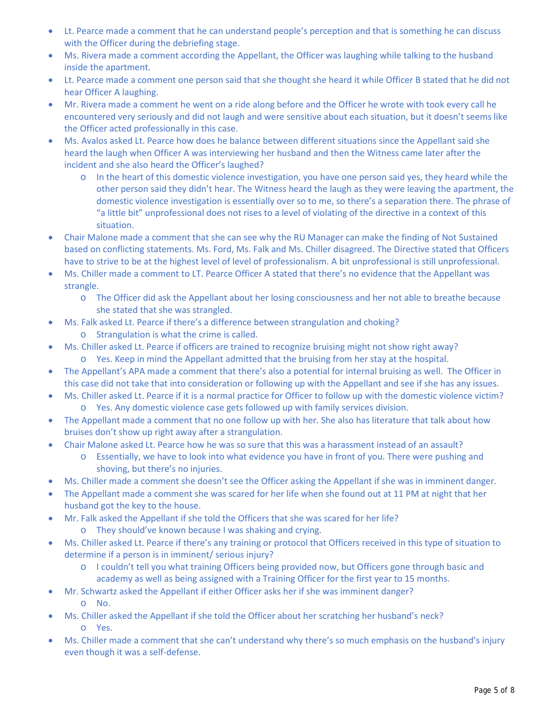- Lt. Pearce made a comment that he can understand people's perception and that is something he can discuss with the Officer during the debriefing stage.
- Ms. Rivera made a comment according the Appellant, the Officer was laughing while talking to the husband inside the apartment.
- Lt. Pearce made a comment one person said that she thought she heard it while Officer B stated that he did not hear Officer A laughing.
- Mr. Rivera made a comment he went on a ride along before and the Officer he wrote with took every call he encountered very seriously and did not laugh and were sensitive about each situation, but it doesn't seems like the Officer acted professionally in this case.
- Ms. Avalos asked Lt. Pearce how does he balance between different situations since the Appellant said she heard the laugh when Officer A was interviewing her husband and then the Witness came later after the incident and she also heard the Officer's laughed?
	- o In the heart of this domestic violence investigation, you have one person said yes, they heard while the other person said they didn't hear. The Witness heard the laugh as they were leaving the apartment, the domestic violence investigation is essentially over so to me, so there's a separation there. The phrase of "a little bit" unprofessional does not rises to a level of violating of the directive in a context of this situation.
- Chair Malone made a comment that she can see why the RU Manager can make the finding of Not Sustained based on conflicting statements. Ms. Ford, Ms. Falk and Ms. Chiller disagreed. The Directive stated that Officers have to strive to be at the highest level of level of professionalism. A bit unprofessional is still unprofessional.
- Ms. Chiller made a comment to LT. Pearce Officer A stated that there's no evidence that the Appellant was strangle.
	- o The Officer did ask the Appellant about her losing consciousness and her not able to breathe because she stated that she was strangled.
	- Ms. Falk asked Lt. Pearce if there's a difference between strangulation and choking?
		- o Strangulation is what the crime is called.
- Ms. Chiller asked Lt. Pearce if officers are trained to recognize bruising might not show right away?
	- o Yes. Keep in mind the Appellant admitted that the bruising from her stay at the hospital.
- The Appellant's APA made a comment that there's also a potential for internal bruising as well. The Officer in this case did not take that into consideration or following up with the Appellant and see if she has any issues.
- Ms. Chiller asked Lt. Pearce if it is a normal practice for Officer to follow up with the domestic violence victim? o Yes. Any domestic violence case gets followed up with family services division.
- The Appellant made a comment that no one follow up with her. She also has literature that talk about how bruises don't show up right away after a strangulation.
- Chair Malone asked Lt. Pearce how he was so sure that this was a harassment instead of an assault?
	- o Essentially, we have to look into what evidence you have in front of you. There were pushing and shoving, but there's no injuries.
- Ms. Chiller made a comment she doesn't see the Officer asking the Appellant if she was in imminent danger.
- The Appellant made a comment she was scared for her life when she found out at 11 PM at night that her husband got the key to the house.
- Mr. Falk asked the Appellant if she told the Officers that she was scared for her life?
	- o They should've known because I was shaking and crying.
- Ms. Chiller asked Lt. Pearce if there's any training or protocol that Officers received in this type of situation to determine if a person is in imminent/ serious injury?
	- o I couldn't tell you what training Officers being provided now, but Officers gone through basic and academy as well as being assigned with a Training Officer for the first year to 15 months.
- Mr. Schwartz asked the Appellant if either Officer asks her if she was imminent danger? o No.
- Ms. Chiller asked the Appellant if she told the Officer about her scratching her husband's neck? o Yes.
- Ms. Chiller made a comment that she can't understand why there's so much emphasis on the husband's injury even though it was a self-defense.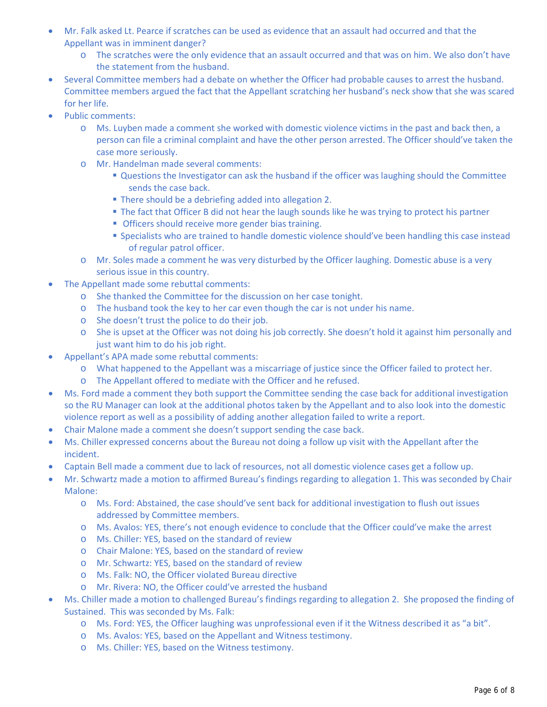- Mr. Falk asked Lt. Pearce if scratches can be used as evidence that an assault had occurred and that the Appellant was in imminent danger?
	- o The scratches were the only evidence that an assault occurred and that was on him. We also don't have the statement from the husband.
- Several Committee members had a debate on whether the Officer had probable causes to arrest the husband. Committee members argued the fact that the Appellant scratching her husband's neck show that she was scared for her life.
- Public comments:
	- o Ms. Luyben made a comment she worked with domestic violence victims in the past and back then, a person can file a criminal complaint and have the other person arrested. The Officer should've taken the case more seriously.
	- o Mr. Handelman made several comments:
		- **Questions the Investigator can ask the husband if the officer was laughing should the Committee** sends the case back.
		- There should be a debriefing added into allegation 2.
		- The fact that Officer B did not hear the laugh sounds like he was trying to protect his partner
		- **Officers should receive more gender bias training.**
		- **Specialists who are trained to handle domestic violence should've been handling this case instead** of regular patrol officer.
	- o Mr. Soles made a comment he was very disturbed by the Officer laughing. Domestic abuse is a very serious issue in this country.
- The Appellant made some rebuttal comments:
	- o She thanked the Committee for the discussion on her case tonight.
	- o The husband took the key to her car even though the car is not under his name.
	- o She doesn't trust the police to do their job.
	- o She is upset at the Officer was not doing his job correctly. She doesn't hold it against him personally and just want him to do his job right.
- Appellant's APA made some rebuttal comments:
	- o What happened to the Appellant was a miscarriage of justice since the Officer failed to protect her.
	- o The Appellant offered to mediate with the Officer and he refused.
- Ms. Ford made a comment they both support the Committee sending the case back for additional investigation so the RU Manager can look at the additional photos taken by the Appellant and to also look into the domestic violence report as well as a possibility of adding another allegation failed to write a report.
- Chair Malone made a comment she doesn't support sending the case back.
- Ms. Chiller expressed concerns about the Bureau not doing a follow up visit with the Appellant after the incident.
- Captain Bell made a comment due to lack of resources, not all domestic violence cases get a follow up.
- Mr. Schwartz made a motion to affirmed Bureau's findings regarding to allegation 1. This was seconded by Chair Malone:
	- o Ms. Ford: Abstained, the case should've sent back for additional investigation to flush out issues addressed by Committee members.
	- o Ms. Avalos: YES, there's not enough evidence to conclude that the Officer could've make the arrest
	- o Ms. Chiller: YES, based on the standard of review
	- o Chair Malone: YES, based on the standard of review
	- o Mr. Schwartz: YES, based on the standard of review
	- o Ms. Falk: NO, the Officer violated Bureau directive
	- o Mr. Rivera: NO, the Officer could've arrested the husband
- Ms. Chiller made a motion to challenged Bureau's findings regarding to allegation 2. She proposed the finding of Sustained. This was seconded by Ms. Falk:
	- o Ms. Ford: YES, the Officer laughing was unprofessional even if it the Witness described it as "a bit".
	- o Ms. Avalos: YES, based on the Appellant and Witness testimony.
	- o Ms. Chiller: YES, based on the Witness testimony.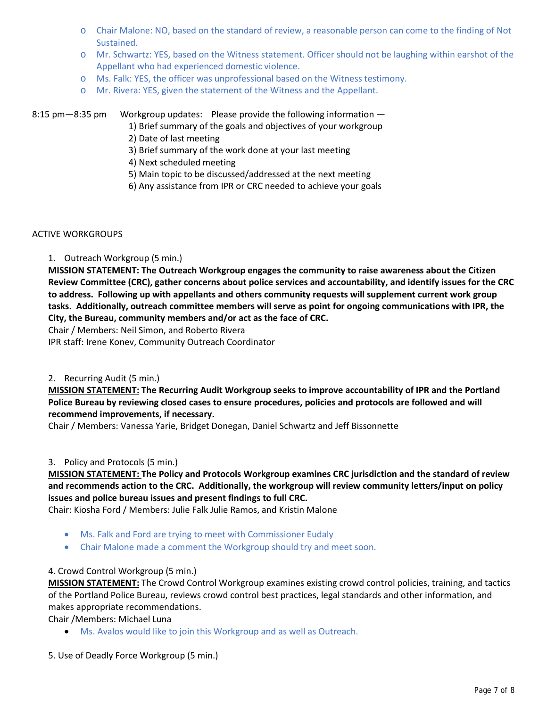- o Chair Malone: NO, based on the standard of review, a reasonable person can come to the finding of Not Sustained.
- o Mr. Schwartz: YES, based on the Witness statement. Officer should not be laughing within earshot of the Appellant who had experienced domestic violence.
- o Ms. Falk: YES, the officer was unprofessional based on the Witness testimony.
- o Mr. Rivera: YES, given the statement of the Witness and the Appellant.

# 8:15 pm—8:35 pm Workgroup updates: Please provide the following information —

- 1) Brief summary of the goals and objectives of your workgroup
- 2) Date of last meeting
- 3) Brief summary of the work done at your last meeting
- 4) Next scheduled meeting
- 5) Main topic to be discussed/addressed at the next meeting
- 6) Any assistance from IPR or CRC needed to achieve your goals

#### ACTIVE WORKGROUPS

# 1. Outreach Workgroup (5 min.)

**MISSION STATEMENT: The Outreach Workgroup engages the community to raise awareness about the Citizen Review Committee (CRC), gather concerns about police services and accountability, and identify issues for the CRC to address. Following up with appellants and others community requests will supplement current work group tasks. Additionally, outreach committee members will serve as point for ongoing communications with IPR, the City, the Bureau, community members and/or act as the face of CRC.**

Chair / Members: Neil Simon, and Roberto Rivera

IPR staff: Irene Konev, Community Outreach Coordinator

# 2. Recurring Audit (5 min.)

**MISSION STATEMENT: The Recurring Audit Workgroup seeks to improve accountability of IPR and the Portland Police Bureau by reviewing closed cases to ensure procedures, policies and protocols are followed and will recommend improvements, if necessary.**

Chair / Members: Vanessa Yarie, Bridget Donegan, Daniel Schwartz and Jeff Bissonnette

# 3. Policy and Protocols (5 min.)

# **MISSION STATEMENT: The Policy and Protocols Workgroup examines CRC jurisdiction and the standard of review and recommends action to the CRC. Additionally, the workgroup will review community letters/input on policy issues and police bureau issues and present findings to full CRC.**

Chair: Kiosha Ford / Members: Julie Falk Julie Ramos, and Kristin Malone

- Ms. Falk and Ford are trying to meet with Commissioner Eudaly
- Chair Malone made a comment the Workgroup should try and meet soon.

# 4. Crowd Control Workgroup (5 min.)

**MISSION STATEMENT:** The Crowd Control Workgroup examines existing crowd control policies, training, and tactics of the Portland Police Bureau, reviews crowd control best practices, legal standards and other information, and makes appropriate recommendations.

Chair /Members: Michael Luna

- Ms. Avalos would like to join this Workgroup and as well as Outreach.
- 5. Use of Deadly Force Workgroup (5 min.)